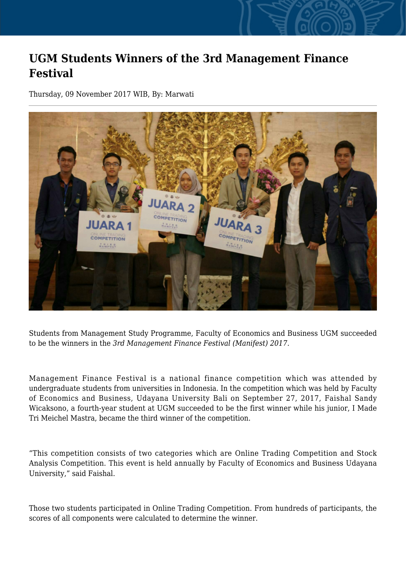## **UGM Students Winners of the 3rd Management Finance Festival**

Thursday, 09 November 2017 WIB, By: Marwati



Students from Management Study Programme, Faculty of Economics and Business UGM succeeded to be the winners in the *3rd Management Finance Festival (Manifest) 2017.*

Management Finance Festival is a national finance competition which was attended by undergraduate students from universities in Indonesia. In the competition which was held by Faculty of Economics and Business, Udayana University Bali on September 27, 2017, Faishal Sandy Wicaksono, a fourth-year student at UGM succeeded to be the first winner while his junior, I Made Tri Meichel Mastra, became the third winner of the competition.

"This competition consists of two categories which are Online Trading Competition and Stock Analysis Competition. This event is held annually by Faculty of Economics and Business Udayana University," said Faishal.

Those two students participated in Online Trading Competition. From hundreds of participants, the scores of all components were calculated to determine the winner.